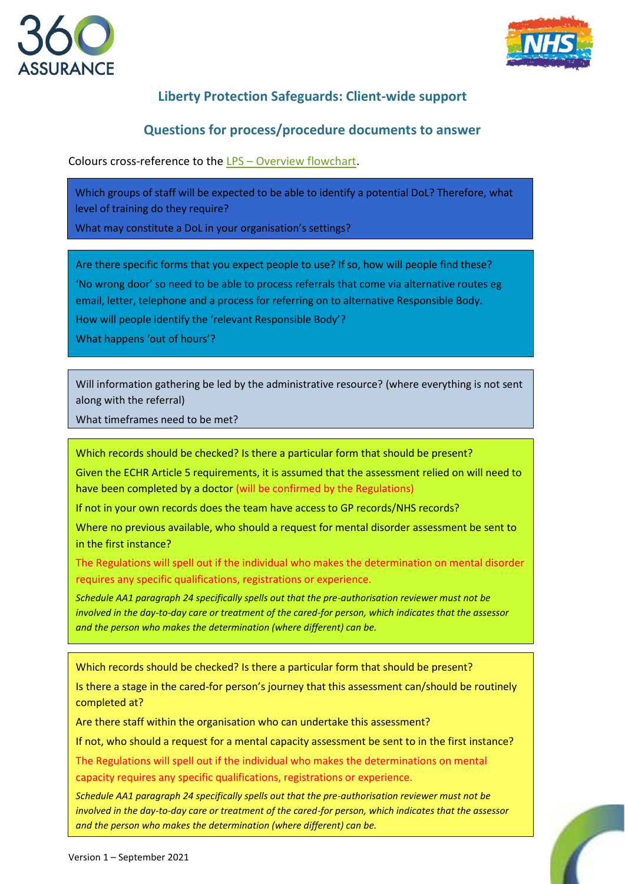



## **Liberty Protection Safeguards: Client-wide support**

## **Questions for process/procedure documents to answer**

Colours cross-reference to the LPS – [Overview flowchart.](https://www.360assurance.co.uk/wp-content/uploads/2021/09/LPS-Overview-flowchart-v.1.pdf)

Which groups of staff will be expected to be able to identify a potential DoL? Therefore, what level of training do they require?

What may constitute a DoL in your organisation's settings?

Are there specific forms that you expect people to use? If so, how will people find these?

'No wrong door' so need to be able to process referrals that come via alternative routes eg email, letter, telephone and a process for referring on to alternative Responsible Body.

How will people identify the 'relevant Responsible Body'?

What happens 'out of hours'?

Will information gathering be led by the administrative resource? (where everything is not sent along with the referral)

What timeframes need to be met?

Which records should be checked? Is there a particular form that should be present?

Given the ECHR Article 5 requirements, it is assumed that the assessment relied on will need to have been completed by a doctor (will be confirmed by the Regulations)

If not in your own records does the team have access to GP records/NHS records?

Where no previous available, who should a request for mental disorder assessment be sent to in the first instance?

The Regulations will spell out if the individual who makes the determination on mental disorder requires any specific qualifications, registrations or experience.

*Schedule AA1 paragraph 24 specifically spells out that the pre-authorisation reviewer must not be involved in the day-to-day care or treatment of the cared-for person, which indicates that the assessor and the person who makes the determination (where different) can be.* 

Which records should be checked? Is there a particular form that should be present?

Is there a stage in the cared-for person's journey that this assessment can/should be routinely completed at?

Are there staff within the organisation who can undertake this assessment?

If not, who should a request for a mental capacity assessment be sent to in the first instance?

The Regulations will spell out if the individual who makes the determinations on mental capacity requires any specific qualifications, registrations or experience.

*Schedule AA1 paragraph 24 specifically spells out that the pre-authorisation reviewer must not be involved in the day-to-day care or treatment of the cared-for person, which indicates that the assessor and the person who makes the determination (where different) can be.*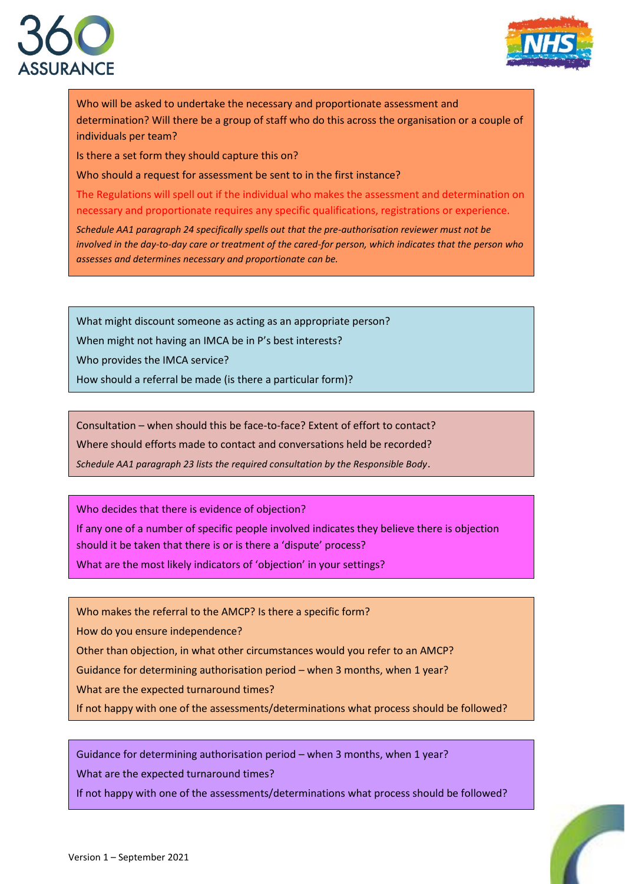



Who will be asked to undertake the necessary and proportionate assessment and determination? Will there be a group of staff who do this across the organisation or a couple of individuals per team?

Is there a set form they should capture this on?

Who should a request for assessment be sent to in the first instance?

The Regulations will spell out if the individual who makes the assessment and determination on necessary and proportionate requires any specific qualifications, registrations or experience.

*Schedule AA1 paragraph 24 specifically spells out that the pre-authorisation reviewer must not be involved in the day-to-day care or treatment of the cared-for person, which indicates that the person who assesses and determines necessary and proportionate can be.* 

What might discount someone as acting as an appropriate person?

When might not having an IMCA be in P's best interests?

Who provides the IMCA service?

How should a referral be made (is there a particular form)?

Consultation – when should this be face-to-face? Extent of effort to contact?

Where should efforts made to contact and conversations held be recorded?

*Schedule AA1 paragraph 23 lists the required consultation by the Responsible Body*.

Who decides that there is evidence of objection?

If any one of a number of specific people involved indicates they believe there is objection should it be taken that there is or is there a 'dispute' process?

What are the most likely indicators of 'objection' in your settings?

Who makes the referral to the AMCP? Is there a specific form?

How do you ensure independence?

Other than objection, in what other circumstances would you refer to an AMCP?

Guidance for determining authorisation period – when 3 months, when 1 year?

What are the expected turnaround times?

If not happy with one of the assessments/determinations what process should be followed?

Guidance for determining authorisation period – when 3 months, when 1 year?

What are the expected turnaround times?

If not happy with one of the assessments/determinations what process should be followed?